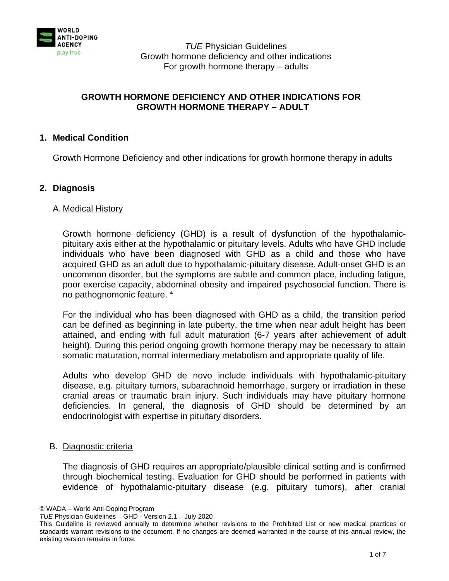

# **GROWTH HORMONE DEFICIENCY AND OTHER INDICATIONS FOR GROWTH HORMONE THERAPY – ADULT**

## **1. Medical Condition**

Growth Hormone Deficiency and other indications for growth hormone therapy in adults

### **2. Diagnosis**

#### A. Medical History

Growth hormone deficiency (GHD) is a result of dysfunction of the hypothalamicpituitary axis either at the hypothalamic or pituitary levels. Adults who have GHD include individuals who have been diagnosed with GHD as a child and those who have acquired GHD as an adult due to hypothalamic-pituitary disease. Adult-onset GHD is an uncommon disorder, but the symptoms are subtle and common place, including fatigue, poor exercise capacity, abdominal obesity and impaired psychosocial function. There is no pathognomonic feature.<sup>4</sup>

For the individual who has been diagnosed with GHD as a child, the transition period can be defined as beginning in late puberty, the time when near adult height has been attained, and ending with full adult maturation (6-7 years after achievement of adult height). During this period ongoing growth hormone therapy may be necessary to attain somatic maturation, normal intermediary metabolism and appropriate quality of life.

Adults who develop GHD de novo include individuals with hypothalamic-pituitary disease, e.g. pituitary tumors, subarachnoid hemorrhage, surgery or irradiation in these cranial areas or traumatic brain injury. Such individuals may have pituitary hormone deficiencies. In general, the diagnosis of GHD should be determined by an endocrinologist with expertise in pituitary disorders.

#### B. Diagnostic criteria

The diagnosis of GHD requires an appropriate/plausible clinical setting and is confirmed through biochemical testing. Evaluation for GHD should be performed in patients with evidence of hypothalamic-pituitary disease (e.g. pituitary tumors), after cranial

<sup>©</sup> WADA – World Anti-Doping Program

*TUE* Physician Guidelines – GHD - Version 2.1 – July 2020

This Guideline is reviewed annually to determine whether revisions to the Prohibited List or new medical practices or standards warrant revisions to the document. If no changes are deemed warranted in the course of this annual review, the existing version remains in force.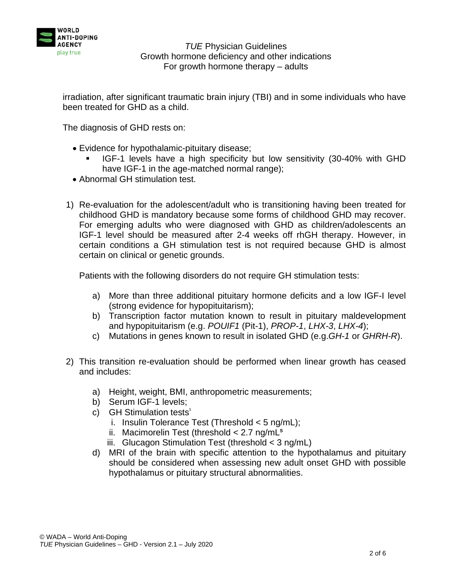

irradiation, after significant traumatic brain injury (TBI) and in some individuals who have been treated for GHD as a child.

The diagnosis of GHD rests on:

- Evidence for hypothalamic-pituitary disease;
	- IGF-1 levels have a high specificity but low sensitivity (30-40% with GHD have IGF-1 in the age-matched normal range);
- Abnormal GH stimulation test.
- 1) Re-evaluation for the adolescent/adult who is transitioning having been treated for childhood GHD is mandatory because some forms of childhood GHD may recover. For emerging adults who were diagnosed with GHD as children/adolescents an IGF-1 level should be measured after 2-4 weeks off rhGH therapy. However, in certain conditions a GH stimulation test is not required because GHD is almost certain on clinical or genetic grounds.

Patients with the following disorders do not require GH stimulation tests:

- a) More than three additional pituitary hormone deficits and a low IGF-I level (strong evidence for hypopituitarism);
- b) Transcription factor mutation known to result in pituitary maldevelopment and hypopituitarism (e.g. *POUIF1* (Pit-1), *PROP-1*, *LHX-3*, *LHX-4*);
- c) Mutations in genes known to result in isolated GHD (e.g.*GH-1* or *GHRH-R*).
- 2) This transition re-evaluation should be performed when linear growth has ceased and includes:
	- a) Height, weight, BMI, anthropometric measurements;
	- b) Serum IGF-1 levels;
	- c)  $GH$  Stimulation tests<sup>1</sup>
		- i. Insulin Tolerance Test (Threshold < 5 ng/mL);
		- ii. Macimorelin Test (threshold  $< 2.7$  ng/mL<sup>5</sup>
		- iii. Glucagon Stimulation Test (threshold  $<$  3 ng/mL)
	- d) MRI of the brain with specific attention to the hypothalamus and pituitary should be considered when assessing new adult onset GHD with possible hypothalamus or pituitary structural abnormalities.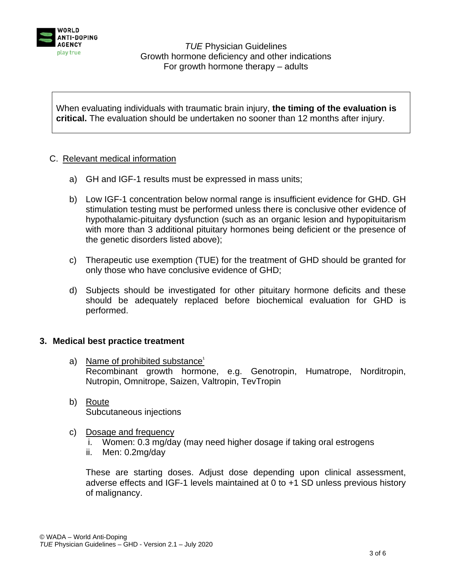

When evaluating individuals with traumatic brain injury, **the timing of the evaluation is critical.** The evaluation should be undertaken no sooner than 12 months after injury.

### C. Relevant medical information

- a) GH and IGF-1 results must be expressed in mass units;
- b) Low IGF-1 concentration below normal range is insufficient evidence for GHD. GH stimulation testing must be performed unless there is conclusive other evidence of hypothalamic-pituitary dysfunction (such as an organic lesion and hypopituitarism with more than 3 additional pituitary hormones being deficient or the presence of the genetic disorders listed above);
- c) Therapeutic use exemption (TUE) for the treatment of GHD should be granted for only those who have conclusive evidence of GHD;
- d) Subjects should be investigated for other pituitary hormone deficits and these should be adequately replaced before biochemical evaluation for GHD is performed.

## **3. Medical best practice treatment**

- a) Name of prohibited substance<sup>1</sup> Recombinant growth hormone, e.g. Genotropin, Humatrope, Norditropin, Nutropin, Omnitrope, Saizen, Valtropin, TevTropin
- b) Route Subcutaneous injections
- c) Dosage and frequency
	- i. Women: 0.3 mg/day (may need higher dosage if taking oral estrogens
	- ii. Men: 0.2mg/day

These are starting doses. Adjust dose depending upon clinical assessment, adverse effects and IGF-1 levels maintained at 0 to +1 SD unless previous history of malignancy.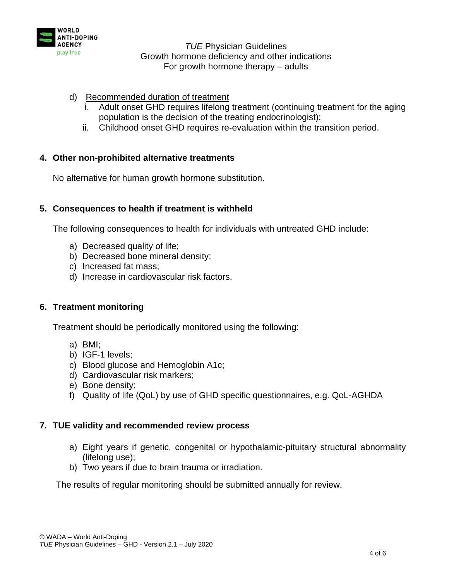

- d) Recommended duration of treatment
	- Adult onset GHD requires lifelong treatment (continuing treatment for the aging population is the decision of the treating endocrinologist);
	- ii. Childhood onset GHD requires re-evaluation within the transition period.

### **4. Other non-prohibited alternative treatments**

No alternative for human growth hormone substitution.

### **5. Consequences to health if treatment is withheld**

The following consequences to health for individuals with untreated GHD include:

- a) Decreased quality of life;
- b) Decreased bone mineral density;
- c) Increased fat mass;
- d) Increase in cardiovascular risk factors.

#### **6. Treatment monitoring**

Treatment should be periodically monitored using the following:

- a) BMI;
- b) IGF-1 levels;
- c) Blood glucose and Hemoglobin A1c;
- d) Cardiovascular risk markers;
- e) Bone density;
- f) Quality of life (QoL) by use of GHD specific questionnaires, e.g. QoL-AGHDA

#### **7. TUE validity and recommended review process**

- a) Eight years if genetic, congenital or hypothalamic-pituitary structural abnormality (lifelong use);
- b) Two years if due to brain trauma or irradiation.

The results of regular monitoring should be submitted annually for review.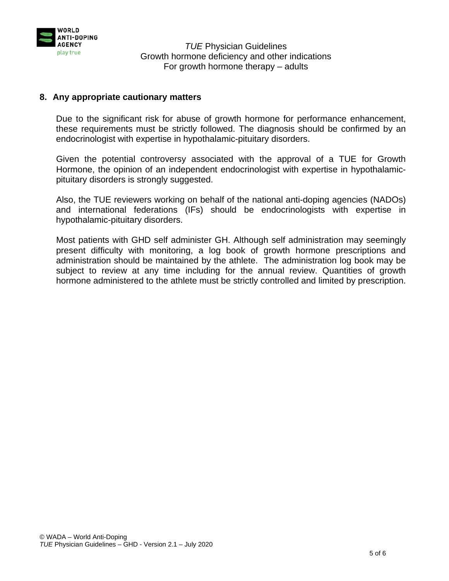

### **8. Any appropriate cautionary matters**

Due to the significant risk for abuse of growth hormone for performance enhancement, these requirements must be strictly followed. The diagnosis should be confirmed by an endocrinologist with expertise in hypothalamic-pituitary disorders.

Given the potential controversy associated with the approval of a TUE for Growth Hormone, the opinion of an independent endocrinologist with expertise in hypothalamicpituitary disorders is strongly suggested.

Also, the TUE reviewers working on behalf of the national anti-doping agencies (NADOs) and international federations (IFs) should be endocrinologists with expertise in hypothalamic-pituitary disorders.

Most patients with GHD self administer GH. Although self administration may seemingly present difficulty with monitoring, a log book of growth hormone prescriptions and administration should be maintained by the athlete. The administration log book may be subject to review at any time including for the annual review. Quantities of growth hormone administered to the athlete must be strictly controlled and limited by prescription.